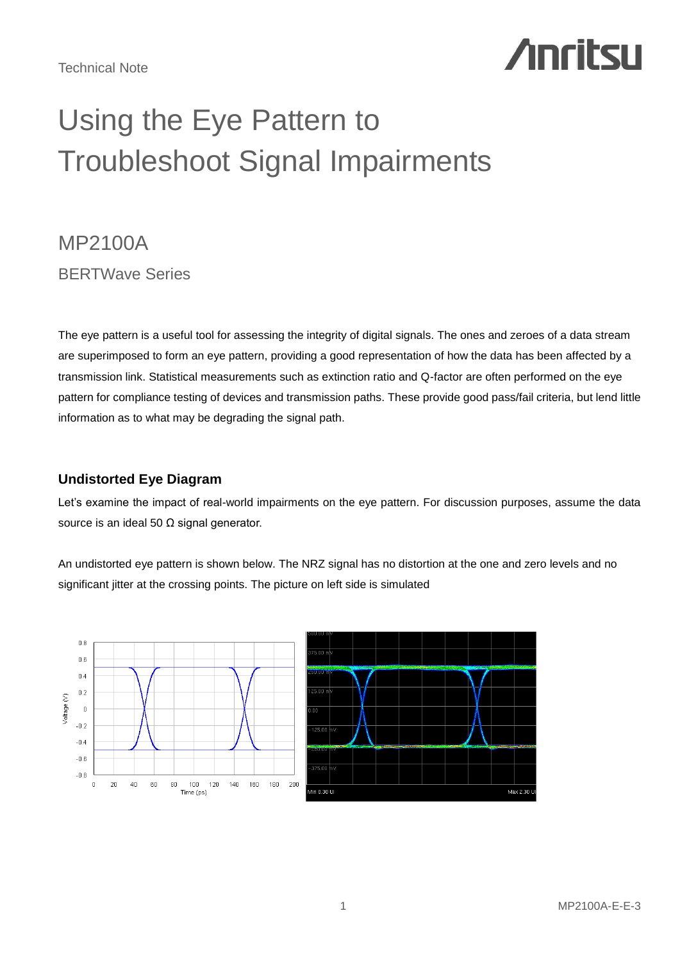# **Anritsu**

## Using the Eye Pattern to Troubleshoot Signal Impairments

## MP2100A BERTWave Series

The eye pattern is a useful tool for assessing the integrity of digital signals. The ones and zeroes of a data stream are superimposed to form an eye pattern, providing a good representation of how the data has been affected by a transmission link. Statistical measurements such as extinction ratio and Q-factor are often performed on the eye pattern for compliance testing of devices and transmission paths. These provide good pass/fail criteria, but lend little information as to what may be degrading the signal path.

## **Undistorted Eye Diagram**

Let's examine the impact of real-world impairments on the eye pattern. For discussion purposes, assume the data source is an ideal 50 Ω signal generator.

An undistorted eye pattern is shown below. The NRZ signal has no distortion at the one and zero levels and no significant jitter at the crossing points. The picture on left side is simulated

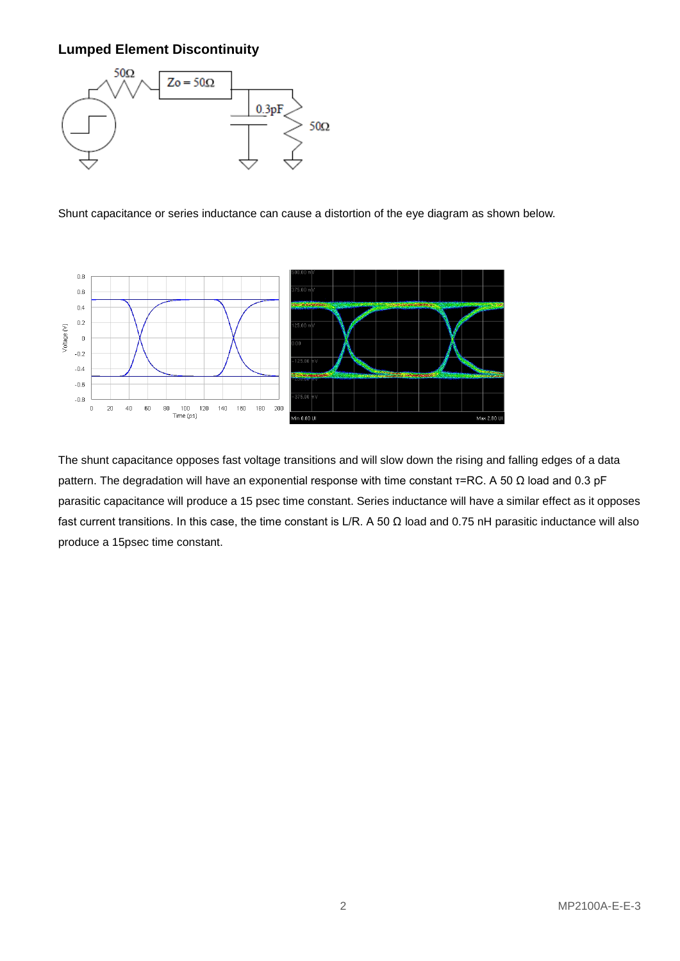## **Lumped Element Discontinuity**



Shunt capacitance or series inductance can cause a distortion of the eye diagram as shown below.



The shunt capacitance opposes fast voltage transitions and will slow down the rising and falling edges of a data pattern. The degradation will have an exponential response with time constant τ=RC. A 50 Ω load and 0.3 pF parasitic capacitance will produce a 15 psec time constant. Series inductance will have a similar effect as it opposes fast current transitions. In this case, the time constant is L/R. A 50  $\Omega$  load and 0.75 nH parasitic inductance will also produce a 15psec time constant.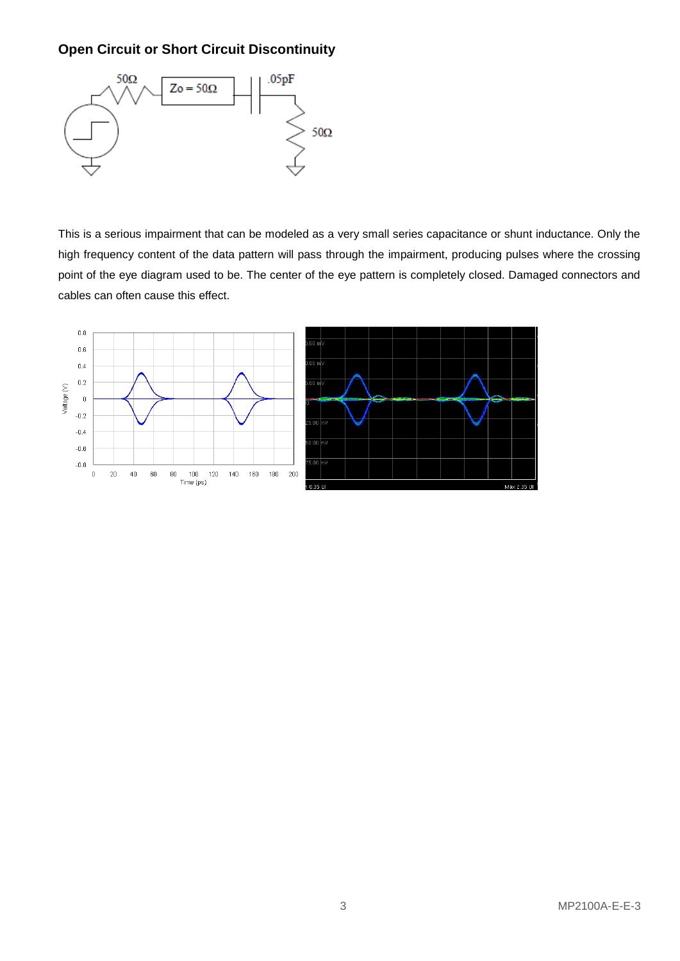## **Open Circuit or Short Circuit Discontinuity**



This is a serious impairment that can be modeled as a very small series capacitance or shunt inductance. Only the high frequency content of the data pattern will pass through the impairment, producing pulses where the crossing point of the eye diagram used to be. The center of the eye pattern is completely closed. Damaged connectors and cables can often cause this effect.

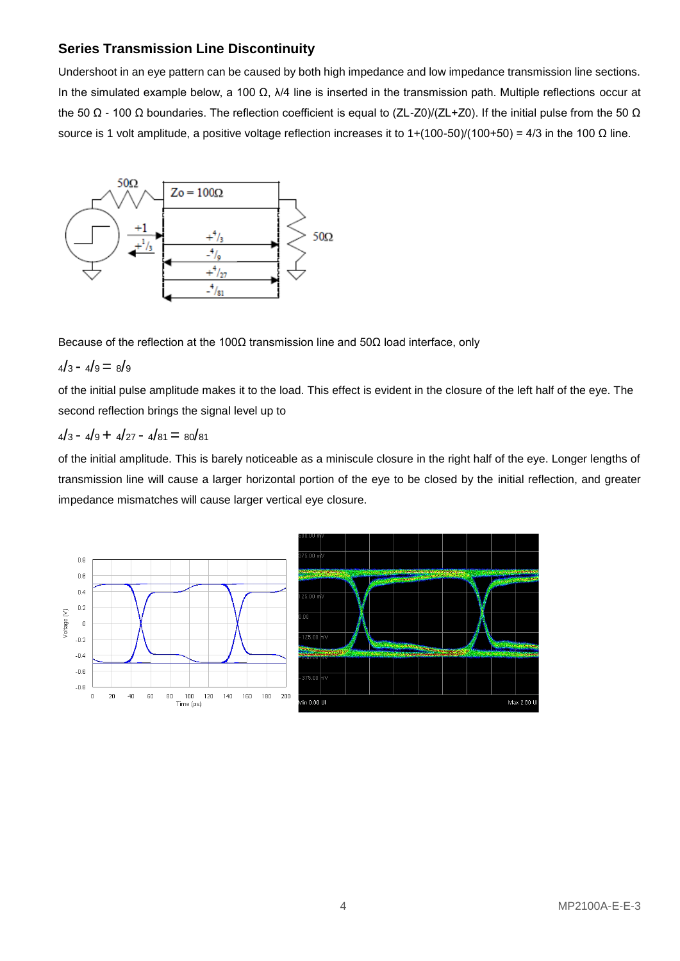## **Series Transmission Line Discontinuity**

Undershoot in an eye pattern can be caused by both high impedance and low impedance transmission line sections. In the simulated example below, a 100 Ω,  $\lambda$ /4 line is inserted in the transmission path. Multiple reflections occur at the 50 Ω - 100 Ω boundaries. The reflection coefficient is equal to (ZL-Z0)/(ZL+Z0). If the initial pulse from the 50 Ω source is 1 volt amplitude, a positive voltage reflection increases it to  $1+(100-50)/(100+50) = 4/3$  in the 100 Ω line.



Because of the reflection at the 100 $\Omega$  transmission line and 50 $\Omega$  load interface, only

 $4/3 - 4/9 = 8/9$ 

of the initial pulse amplitude makes it to the load. This effect is evident in the closure of the left half of the eye. The second reflection brings the signal level up to

## $4/3 - 4/9 + 4/27 - 4/81 = 80/81$

of the initial amplitude. This is barely noticeable as a miniscule closure in the right half of the eye. Longer lengths of transmission line will cause a larger horizontal portion of the eye to be closed by the initial reflection, and greater impedance mismatches will cause larger vertical eye closure.

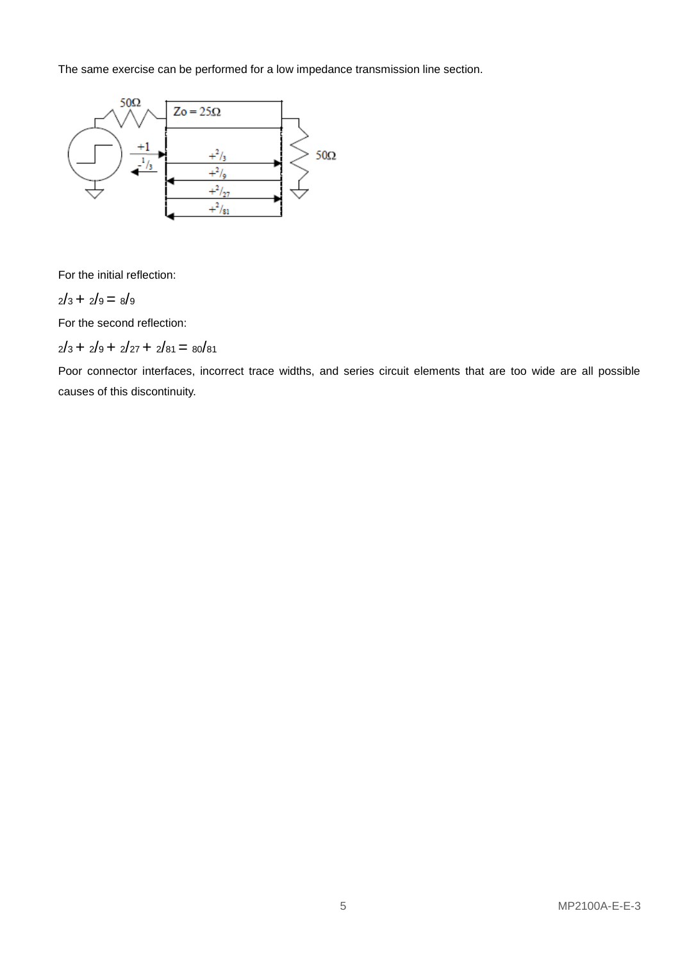The same exercise can be performed for a low impedance transmission line section.



For the initial reflection:

$$
2/3+2/9=8/9
$$

For the second reflection:

 $2/3 + 2/9 + 2/27 + 2/81 = 80/81$ 

Poor connector interfaces, incorrect trace widths, and series circuit elements that are too wide are all possible causes of this discontinuity.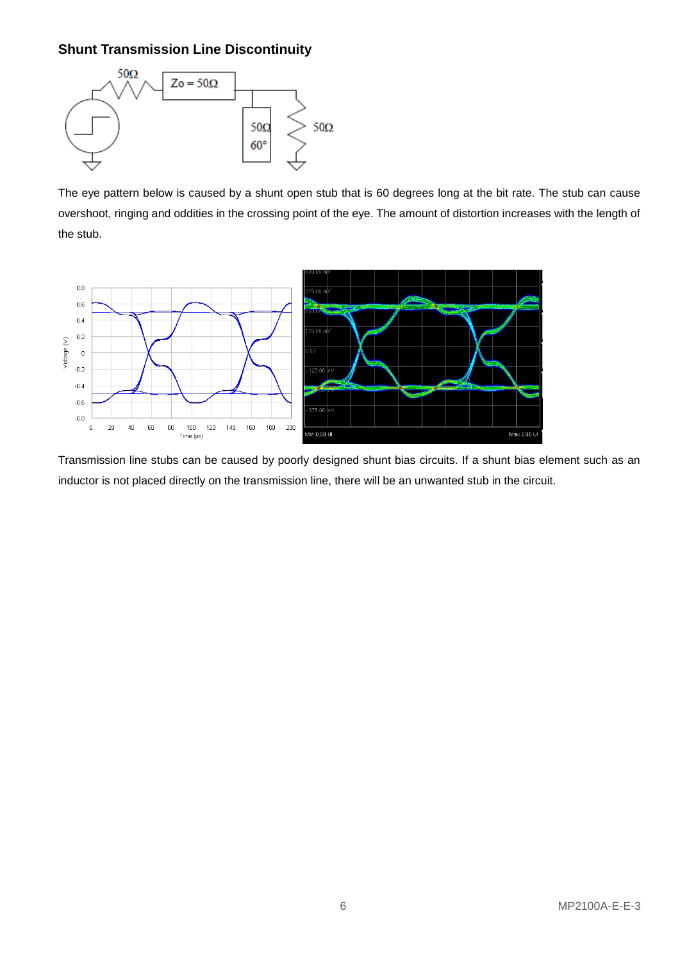## **Shunt Transmission Line Discontinuity**



The eye pattern below is caused by a shunt open stub that is 60 degrees long at the bit rate. The stub can cause overshoot, ringing and oddities in the crossing point of the eye. The amount of distortion increases with the length of the stub.



Transmission line stubs can be caused by poorly designed shunt bias circuits. If a shunt bias element such as an inductor is not placed directly on the transmission line, there will be an unwanted stub in the circuit.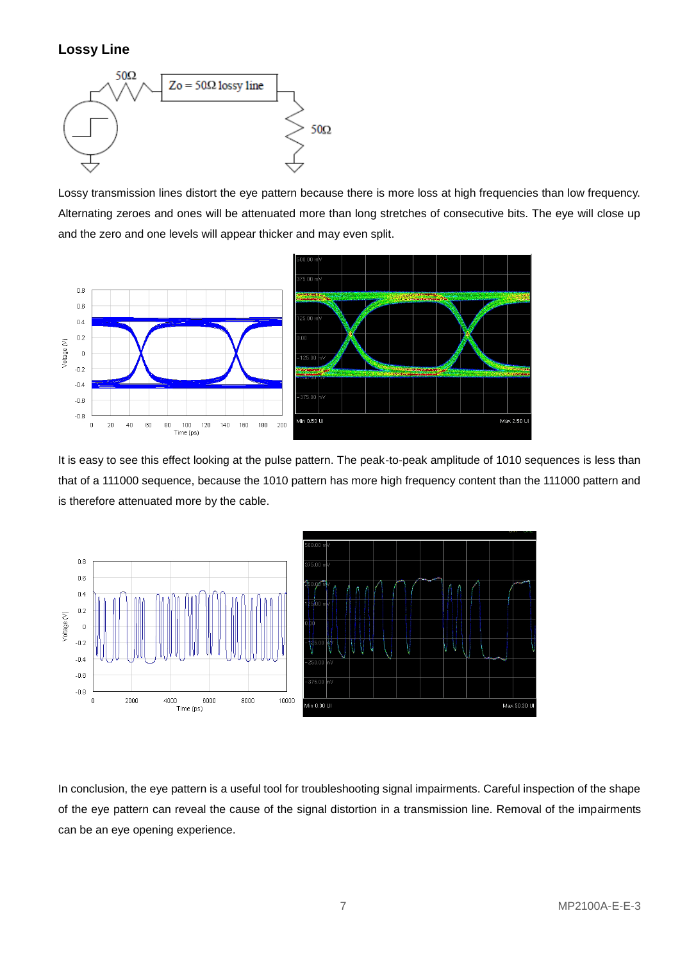## **Lossy Line**



Lossy transmission lines distort the eye pattern because there is more loss at high frequencies than low frequency. Alternating zeroes and ones will be attenuated more than long stretches of consecutive bits. The eye will close up and the zero and one levels will appear thicker and may even split.



It is easy to see this effect looking at the pulse pattern. The peak-to-peak amplitude of 1010 sequences is less than that of a 111000 sequence, because the 1010 pattern has more high frequency content than the 111000 pattern and is therefore attenuated more by the cable.



In conclusion, the eye pattern is a useful tool for troubleshooting signal impairments. Careful inspection of the shape of the eye pattern can reveal the cause of the signal distortion in a transmission line. Removal of the impairments can be an eye opening experience.